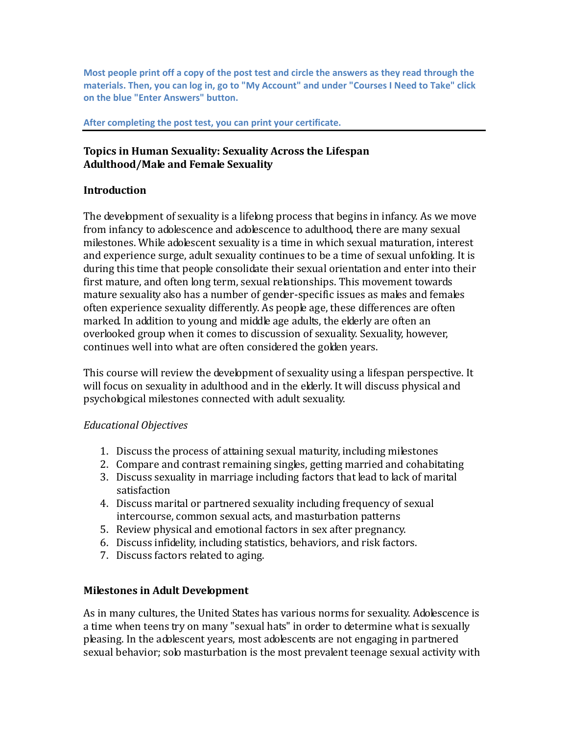**Most people print off a copy of the post test and circle the answers as they read through the materials. Then, you can log in, go to "My Account" and under "Courses I Need to Take" click on the blue "Enter Answers" button.**

#### **After completing the post test, you can print your certificate.**

## **Topics in Human Sexuality: Sexuality Across the Lifespan Adulthood/Male and Female Sexuality**

#### **Introduction**

The development of sexuality is a lifelong process that begins in infancy. As we move from infancy to adolescence and adolescence to adulthood, there are many sexual milestones. While adolescent sexuality is a time in which sexual maturation, interest and experience surge, adult sexuality continues to be a time of sexual unfolding. It is during this time that people consolidate their sexual orientation and enter into their first mature, and often long term, sexual relationships. This movement towards mature sexuality also has a number of gender-specific issues as males and females often experience sexuality differently. As people age, these differences are often marked. In addition to young and middle age adults, the elderly are often an overlooked group when it comes to discussion of sexuality. Sexuality, however, continues well into what are often considered the golden years.

This course will review the development of sexuality using a lifespan perspective. It will focus on sexuality in adulthood and in the elderly. It will discuss physical and psychological milestones connected with adult sexuality.

### *Educational Objectives*

- 1. Discuss the process of attaining sexual maturity, including milestones
- 2. Compare and contrast remaining singles, getting married and cohabitating
- 3. Discuss sexuality in marriage including factors that lead to lack of marital satisfaction
- 4. Discuss marital or partnered sexuality including frequency of sexual intercourse, common sexual acts, and masturbation patterns
- 5. Review physical and emotional factors in sex after pregnancy.
- 6. Discuss infidelity, including statistics, behaviors, and risk factors.
- 7. Discuss factors related to aging.

### **Milestones in Adult Development**

As in many cultures, the United States has various norms for sexuality. Adolescence is a time when teens try on many "sexual hats" in order to determine what is sexually pleasing. In the adolescent years, most adolescents are not engaging in partnered sexual behavior; solo masturbation is the most prevalent teenage sexual activity with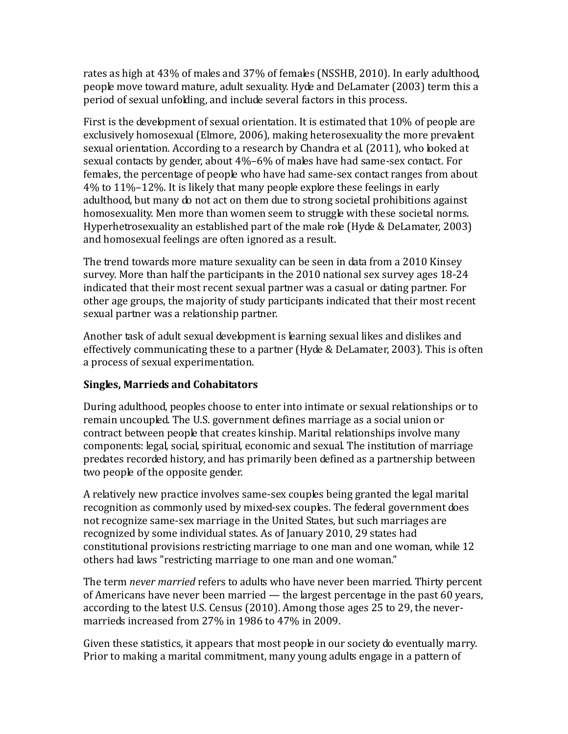rates as high at 43% of males and 37% of females (NSSHB, 2010). In early adulthood, people move toward mature, adult sexuality. Hyde and DeLamater (2003) term this a period of sexual unfolding, and include several factors in this process.

First is the development of sexual orientation. It is estimated that 10% of people are exclusively homosexual (Elmore, 2006), making heterosexuality the more prevalent sexual orientation. According to a research by Chandra et al. (2011), who looked at sexual contacts by gender, about 4%–6% of males have had same-sex contact. For females, the percentage of people who have had same-sex contact ranges from about 4% to 11%–12%. It is likely that many people explore these feelings in early adulthood, but many do not act on them due to strong societal prohibitions against homosexuality. Men more than women seem to struggle with these societal norms. Hyperhetrosexuality an established part of the male role (Hyde & DeLamater, 2003) and homosexual feelings are often ignored as a result.

The trend towards more mature sexuality can be seen in data from a 2010 Kinsey survey. More than half the participants in the 2010 national sex survey ages 18-24 indicated that their most recent sexual partner was a casual or dating partner. For other age groups, the majority of study participants indicated that their most recent sexual partner was a relationship partner.

Another task of adult sexual development is learning sexual likes and dislikes and effectively communicating these to a partner (Hyde & DeLamater, 2003). This is often a process of sexual experimentation.

# **Singles, Marrieds and Cohabitators**

During adulthood, peoples choose to enter into intimate or sexual relationships or to remain uncoupled. The U.S. government defines marriage as a social union or contract between people that creates kinship. Marital relationships involve many components: legal, social, spiritual, economic and sexual. The institution of marriage predates recorded history, and has primarily been defined as a partnership between two people of the opposite gender.

A relatively new practice involves same-sex couples being granted the legal marital recognition as commonly used by mixed-sex couples. The federal government does not recognize same-sex marriage in the United States, but such marriages are recognized by some individual states. As of January 2010, 29 states had constitutional provisions restricting marriage to one man and one woman, while 12 others had laws "restricting marriage to one man and one woman."

The term *never married* refers to adults who have never been married. Thirty percent of Americans have never been married — the largest percentage in the past 60 years, according to the latest U.S. Census (2010). Among those ages 25 to 29, the nevermarrieds increased from 27% in 1986 to 47% in 2009.

Given these statistics, it appears that most people in our society do eventually marry. Prior to making a marital commitment, many young adults engage in a pattern of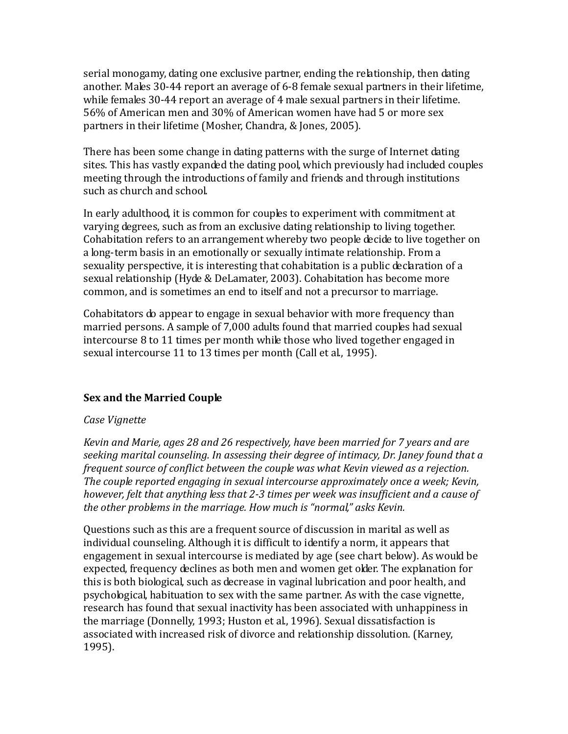serial monogamy, dating one exclusive partner, ending the relationship, then dating another. Males 30-44 report an average of 6-8 female sexual partners in their lifetime, while females 30-44 report an average of 4 male sexual partners in their lifetime. 56% of American men and 30% of American women have had 5 or more sex partners in their lifetime (Mosher, Chandra, & Jones, 2005).

There has been some change in dating patterns with the surge of Internet dating sites. This has vastly expanded the dating pool, which previously had included couples meeting through the introductions of family and friends and through institutions such as church and school.

In early adulthood, it is common for couples to experiment with commitment at varying degrees, such as from an exclusive dating relationship to living together. Cohabitation refers to an arrangement whereby two people decide to live together on a long-term basis in an emotionally or sexually intimate relationship. From a sexuality perspective, it is interesting that cohabitation is a public declaration of a sexual relationship (Hyde & DeLamater, 2003). Cohabitation has become more common, and is sometimes an end to itself and not a precursor to marriage.

Cohabitators do appear to engage in sexual behavior with more frequency than married persons. A sample of 7,000 adults found that married couples had sexual intercourse 8 to 11 times per month while those who lived together engaged in sexual intercourse 11 to 13 times per month (Call et al., 1995).

# **Sex and the Married Couple**

### *Case Vignette*

*Kevin and Marie, ages 28 and 26 respectively, have been married for 7 years and are seeking marital counseling. In assessing their degree of intimacy, Dr. Janey found that a frequent source of conflict between the couple was what Kevin viewed as a rejection. The couple reported engaging in sexual intercourse approximately once a week; Kevin, however, felt that anything less that 2-3 times per week was insufficient and a cause of the other problems in the marriage. How much is "normal," asks Kevin.*

Questions such as this are a frequent source of discussion in marital as well as individual counseling. Although it is difficult to identify a norm, it appears that engagement in sexual intercourse is mediated by age (see chart below). As would be expected, frequency declines as both men and women get older. The explanation for this is both biological, such as decrease in vaginal lubrication and poor health, and psychological, habituation to sex with the same partner. As with the case vignette, research has found that sexual inactivity has been associated with unhappiness in the marriage (Donnelly, 1993; Huston et al., 1996). Sexual dissatisfaction is associated with increased risk of divorce and relationship dissolution. (Karney, 1995).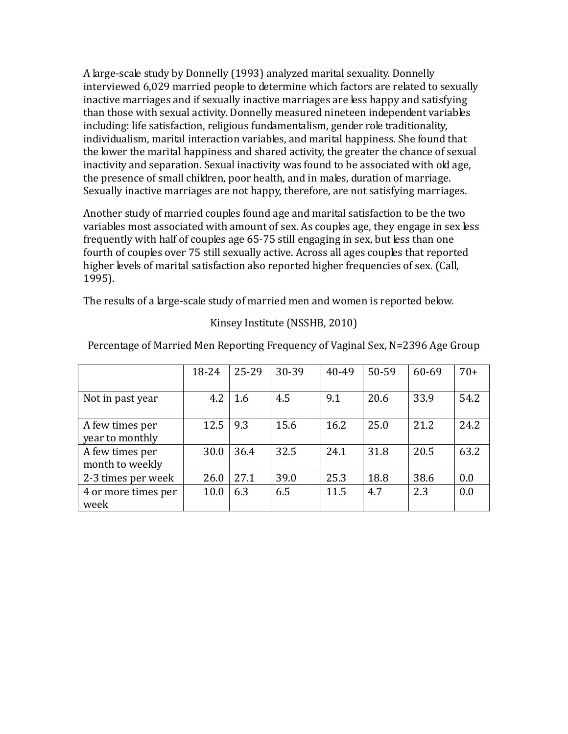A large-scale study by Donnelly (1993) analyzed marital sexuality. Donnelly interviewed 6,029 married people to determine which factors are related to sexually inactive marriages and if sexually inactive marriages are less happy and satisfying than those with sexual activity. Donnelly measured nineteen independent variables including: life satisfaction, religious fundamentalism, gender role traditionality, individualism, marital interaction variables, and marital happiness. She found that the lower the marital happiness and shared activity, the greater the chance of sexual inactivity and separation. Sexual inactivity was found to be associated with old age, the presence of small children, poor health, and in males, duration of marriage. Sexually inactive marriages are not happy, therefore, are not satisfying marriages.

Another study of married couples found age and marital satisfaction to be the two variables most associated with amount of sex. As couples age, they engage in sex less frequently with half of couples age 65-75 still engaging in sex, but less than one fourth of couples over 75 still sexually active. Across all ages couples that reported higher levels of marital satisfaction also reported higher frequencies of sex. (Call, 1995).

The results of a large-scale study of married men and women is reported below.

### Kinsey Institute (NSSHB, 2010)

|                                    | 18-24 | 25-29 | 30-39 | 40-49 | 50-59 | 60-69 | $70+$ |
|------------------------------------|-------|-------|-------|-------|-------|-------|-------|
| Not in past year                   | 4.2   | 1.6   | 4.5   | 9.1   | 20.6  | 33.9  | 54.2  |
| A few times per<br>year to monthly | 12.5  | 9.3   | 15.6  | 16.2  | 25.0  | 21.2  | 24.2  |
| A few times per<br>month to weekly | 30.0  | 36.4  | 32.5  | 24.1  | 31.8  | 20.5  | 63.2  |
| 2-3 times per week                 | 26.0  | 27.1  | 39.0  | 25.3  | 18.8  | 38.6  | 0.0   |
| 4 or more times per<br>week        | 10.0  | 6.3   | 6.5   | 11.5  | 4.7   | 2.3   | 0.0   |

Percentage of Married Men Reporting Frequency of Vaginal Sex, N=2396 Age Group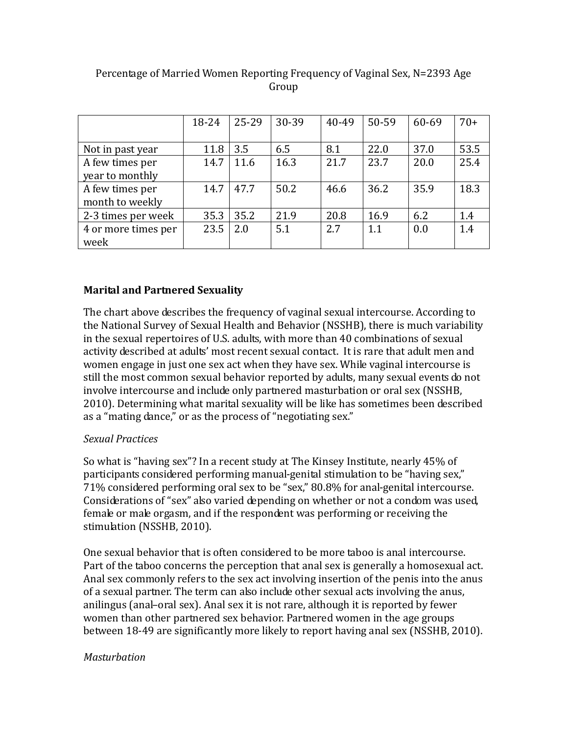|                     | 18-24 | 25-29 | 30-39 | 40-49 | 50-59 | 60-69 | $70+$ |
|---------------------|-------|-------|-------|-------|-------|-------|-------|
|                     |       |       |       |       |       |       |       |
| Not in past year    | 11.8  | 3.5   | 6.5   | 8.1   | 22.0  | 37.0  | 53.5  |
| A few times per     | 14.7  | 11.6  | 16.3  | 21.7  | 23.7  | 20.0  | 25.4  |
| year to monthly     |       |       |       |       |       |       |       |
| A few times per     | 14.7  | 47.7  | 50.2  | 46.6  | 36.2  | 35.9  | 18.3  |
| month to weekly     |       |       |       |       |       |       |       |
| 2-3 times per week  | 35.3  | 35.2  | 21.9  | 20.8  | 16.9  | 6.2   | 1.4   |
| 4 or more times per | 23.5  | 2.0   | 5.1   | 2.7   | 1.1   | 0.0   | 1.4   |
| week                |       |       |       |       |       |       |       |

# Percentage of Married Women Reporting Frequency of Vaginal Sex, N=2393 Age Group

# **Marital and Partnered Sexuality**

The chart above describes the frequency of vaginal sexual intercourse. According to the National Survey of Sexual Health and Behavior (NSSHB), there is much variability in the sexual repertoires of U.S. adults, with more than 40 combinations of sexual activity described at adults' most recent sexual contact. It is rare that adult men and women engage in just one sex act when they have sex. While vaginal intercourse is still the most common sexual behavior reported by adults, many sexual events do not involve intercourse and include only partnered masturbation or oral sex (NSSHB, 2010). Determining what marital sexuality will be like has sometimes been described as a "mating dance," or as the process of "negotiating sex."

### *Sexual Practices*

So what is "having sex"? In a recent study at The Kinsey Institute, nearly 45% of participants considered performing manual-genital stimulation to be "having sex," 71% considered performing oral sex to be "sex," 80.8% for anal-genital intercourse. Considerations of "sex" also varied depending on whether or not a condom was used, female or male orgasm, and if the respondent was performing or receiving the stimulation (NSSHB, 2010).

One sexual behavior that is often considered to be more taboo is anal intercourse. Part of the taboo concerns the perception that anal sex is generally a homosexual act. Anal sex commonly refers to the sex act involving insertion of the penis into the anus of a sexual partner. The term can also include other sexual acts involving the anus, anilingus (anal–oral sex). Anal sex it is not rare, although it is reported by fewer women than other partnered sex behavior. Partnered women in the age groups between 18-49 are significantly more likely to report having anal sex (NSSHB, 2010).

### *Masturbation*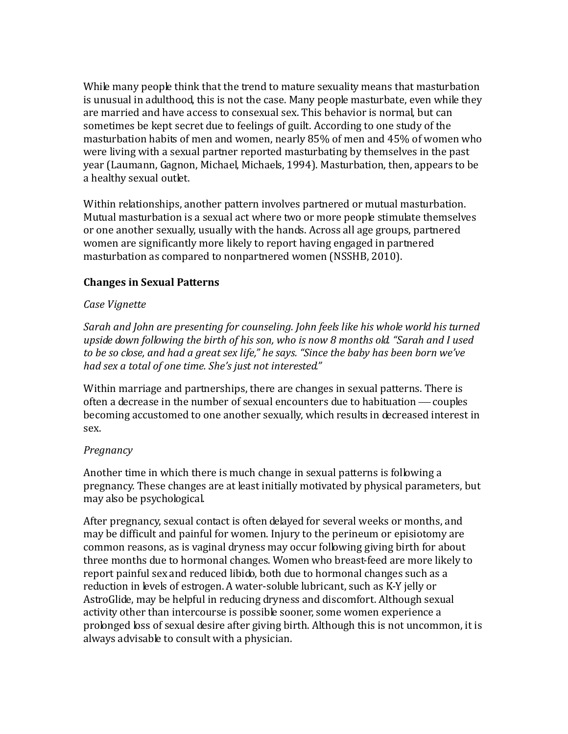While many people think that the trend to mature sexuality means that masturbation is unusual in adulthood, this is not the case. Many people masturbate, even while they are married and have access to consexual sex. This behavior is normal, but can sometimes be kept secret due to feelings of guilt. According to one study of the masturbation habits of men and women, nearly 85% of men and 45% of women who were living with a sexual partner reported masturbating by themselves in the past year (Laumann, Gagnon, Michael, Michaels, 1994). Masturbation, then, appears to be a healthy sexual outlet.

Within relationships, another pattern involves partnered or mutual masturbation. Mutual masturbation is a sexual act where two or more people stimulate themselves or one another sexually, usually with the hands. Across all age groups, partnered women are significantly more likely to report having engaged in partnered masturbation as compared to nonpartnered women (NSSHB, 2010).

### **Changes in Sexual Patterns**

#### *Case Vignette*

*Sarah and John are presenting for counseling. John feels like his whole world his turned upside down following the birth of his son, who is now 8 months old. "Sarah and I used to be so close, and had a great sex life," he says. "Since the baby has been born we've had sex a total of one time. She's just not interested."*

Within marriage and partnerships, there are changes in sexual patterns. There is often a decrease in the number of sexual encounters due to habituation — couples becoming accustomed to one another sexually, which results in decreased interest in sex.

### *Pregnancy*

Another time in which there is much change in sexual patterns is following a pregnancy. These changes are at least initially motivated by physical parameters, but may also be psychological.

After pregnancy, sexual contact is often delayed for several weeks or months, and may be difficult and painful for women. Injury to the perineum or episiotomy are common reasons, as is vaginal dryness may occur following giving birth for about three months due to hormonal changes. Women who breast-feed are more likely to report painful sex and reduced libido, both due to hormonal changes such as a reduction in levels of estrogen. A water-soluble lubricant, such as K-Y jelly or AstroGlide, may be helpful in reducing dryness and discomfort. Although sexual activity other than intercourse is possible sooner, some women experience a prolonged loss of sexual desire after giving birth. Although this is not uncommon, it is always advisable to consult with a physician.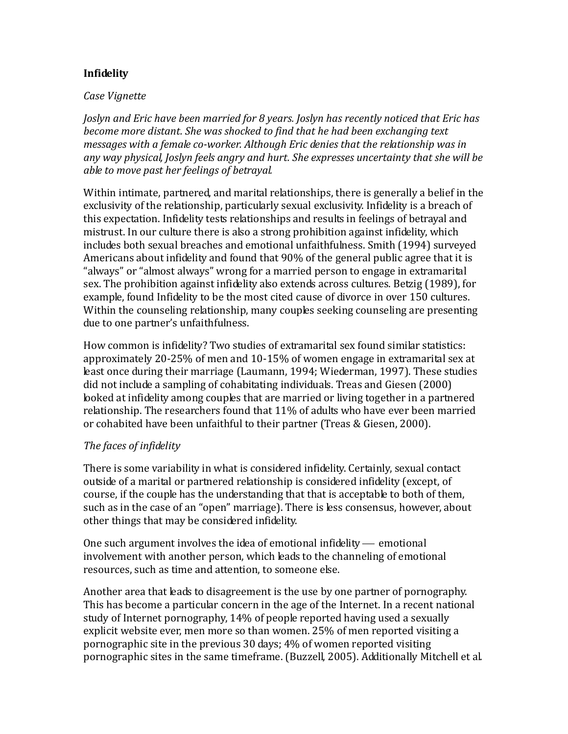## **Infidelity**

#### *Case Vignette*

*Joslyn and Eric have been married for 8 years. Joslyn has recently noticed that Eric has become more distant. She was shocked to find that he had been exchanging text messages with a female co-worker. Although Eric denies that the relationship was in any way physical, Joslyn feels angry and hurt. She expresses uncertainty that she will be able to move past her feelings of betrayal.*

Within intimate, partnered, and marital relationships, there is generally a belief in the exclusivity of the relationship, particularly sexual exclusivity. Infidelity is a breach of this expectation. Infidelity tests relationships and results in feelings of betrayal and mistrust. In our culture there is also a strong prohibition against infidelity, which includes both sexual breaches and emotional unfaithfulness. Smith (1994) surveyed Americans about infidelity and found that 90% of the general public agree that it is "always" or "almost always" wrong for a married person to engage in extramarital sex. The prohibition against infidelity also extends across cultures. Betzig (1989), for example, found Infidelity to be the most cited cause of divorce in over 150 cultures. Within the counseling relationship, many couples seeking counseling are presenting due to one partner's unfaithfulness.

How common is infidelity? Two studies of extramarital sex found similar statistics: approximately 20-25% of men and 10-15% of women engage in extramarital sex at least once during their marriage (Laumann, 1994; Wiederman, 1997). These studies did not include a sampling of cohabitating individuals. Treas and Giesen (2000) looked at infidelity among couples that are married or living together in a partnered relationship. The researchers found that 11% of adults who have ever been married or cohabited have been unfaithful to their partner (Treas & Giesen, 2000).

### *The faces of infidelity*

There is some variability in what is considered infidelity. Certainly, sexual contact outside of a marital or partnered relationship is considered infidelity (except, of course, if the couple has the understanding that that is acceptable to both of them, such as in the case of an "open" marriage). There is less consensus, however, about other things that may be considered infidelity.

One such argument involves the idea of emotional infidelity  $-$  emotional involvement with another person, which leads to the channeling of emotional resources, such as time and attention, to someone else.

Another area that leads to disagreement is the use by one partner of pornography. This has become a particular concern in the age of the Internet. In a recent national study of Internet pornography, 14% of people reported having used a sexually explicit website ever, men more so than women. 25% of men reported visiting a pornographic site in the previous 30 days; 4% of women reported visiting pornographic sites in the same timeframe. (Buzzell, 2005). Additionally Mitchell et al.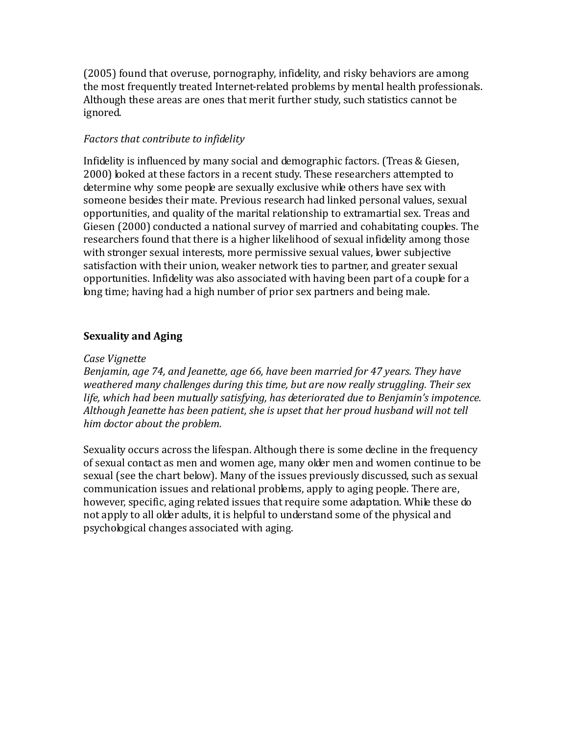(2005) found that overuse, pornography, infidelity, and risky behaviors are among the most frequently treated Internet-related problems by mental health professionals. Although these areas are ones that merit further study, such statistics cannot be ignored.

## *Factors that contribute to infidelity*

Infidelity is influenced by many social and demographic factors. (Treas & Giesen, 2000) looked at these factors in a recent study. These researchers attempted to determine why some people are sexually exclusive while others have sex with someone besides their mate. Previous research had linked personal values, sexual opportunities, and quality of the marital relationship to extramartial sex. Treas and Giesen (2000) conducted a national survey of married and cohabitating couples. The researchers found that there is a higher likelihood of sexual infidelity among those with stronger sexual interests, more permissive sexual values, lower subjective satisfaction with their union, weaker network ties to partner, and greater sexual opportunities. Infidelity was also associated with having been part of a couple for a long time; having had a high number of prior sex partners and being male.

## **Sexuality and Aging**

#### *Case Vignette*

*Benjamin, age 74, and Jeanette, age 66, have been married for 47 years. They have weathered many challenges during this time, but are now really struggling. Their sex life, which had been mutually satisfying, has deteriorated due to Benjamin's impotence. Although Jeanette has been patient, she is upset that her proud husband will not tell him doctor about the problem.*

Sexuality occurs across the lifespan. Although there is some decline in the frequency of sexual contact as men and women age, many older men and women continue to be sexual (see the chart below). Many of the issues previously discussed, such as sexual communication issues and relational problems, apply to aging people. There are, however, specific, aging related issues that require some adaptation. While these do not apply to all older adults, it is helpful to understand some of the physical and psychological changes associated with aging.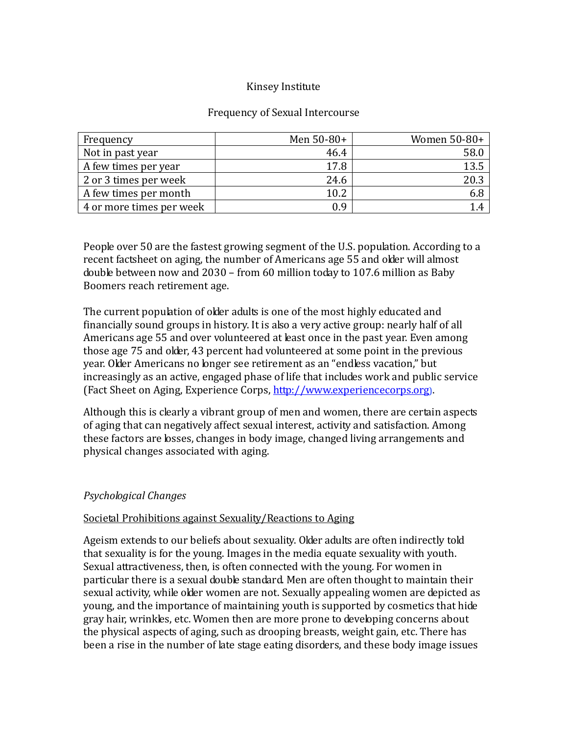### Kinsey Institute

#### Frequency of Sexual Intercourse

| Frequency                | Men $50-80+$ | Women 50-80+ |
|--------------------------|--------------|--------------|
| Not in past year         | 46.4         | 58.0         |
| A few times per year     | 17.8         | 13.5         |
| 2 or 3 times per week    | 24.6         | 20.3         |
| A few times per month    | 10.2         | 6.8          |
| 4 or more times per week | 0.9          |              |

People over 50 are the fastest growing segment of the U.S. population. According to a recent factsheet on aging, the number of Americans age 55 and older will almost double between now and 2030 – from 60 million today to 107.6 million as Baby Boomers reach retirement age.

The current population of older adults is one of the most highly educated and financially sound groups in history. It is also a very active group: nearly half of all Americans age 55 and over volunteered at least once in the past year. Even among those age 75 and older, 43 percent had volunteered at some point in the previous year. Older Americans no longer see retirement as an "endless vacation," but increasingly as an active, engaged phase of life that includes work and public service (Fact Sheet on Aging, Experience Corps, [http://www.experiencecorps.org](http://www.experiencecorps.org/)).

Although this is clearly a vibrant group of men and women, there are certain aspects of aging that can negatively affect sexual interest, activity and satisfaction. Among these factors are losses, changes in body image, changed living arrangements and physical changes associated with aging.

#### *Psychological Changes*

#### Societal Prohibitions against Sexuality/Reactions to Aging

Ageism extends to our beliefs about sexuality. Older adults are often indirectly told that sexuality is for the young. Images in the media equate sexuality with youth. Sexual attractiveness, then, is often connected with the young. For women in particular there is a sexual double standard. Men are often thought to maintain their sexual activity, while older women are not. Sexually appealing women are depicted as young, and the importance of maintaining youth is supported by cosmetics that hide gray hair, wrinkles, etc. Women then are more prone to developing concerns about the physical aspects of aging, such as drooping breasts, weight gain, etc. There has been a rise in the number of late stage eating disorders, and these body image issues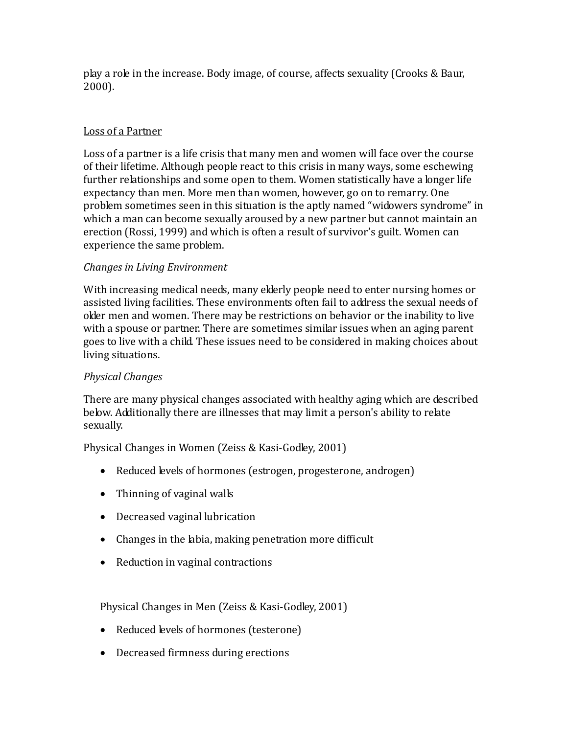play a role in the increase. Body image, of course, affects sexuality (Crooks & Baur, 2000).

## Loss of a Partner

Loss of a partner is a life crisis that many men and women will face over the course of their lifetime. Although people react to this crisis in many ways, some eschewing further relationships and some open to them. Women statistically have a longer life expectancy than men. More men than women, however, go on to remarry. One problem sometimes seen in this situation is the aptly named "widowers syndrome" in which a man can become sexually aroused by a new partner but cannot maintain an erection (Rossi, 1999) and which is often a result of survivor's guilt. Women can experience the same problem.

### *Changes in Living Environment*

With increasing medical needs, many elderly people need to enter nursing homes or assisted living facilities. These environments often fail to address the sexual needs of older men and women. There may be restrictions on behavior or the inability to live with a spouse or partner. There are sometimes similar issues when an aging parent goes to live with a child. These issues need to be considered in making choices about living situations.

# *Physical Changes*

There are many physical changes associated with healthy aging which are described below. Additionally there are illnesses that may limit a person's ability to relate sexually.

Physical Changes in Women (Zeiss & Kasi-Godley, 2001)

- Reduced levels of hormones (estrogen, progesterone, androgen)
- Thinning of vaginal walls
- Decreased vaginal lubrication
- Changes in the labia, making penetration more difficult
- Reduction in vaginal contractions

Physical Changes in Men (Zeiss & Kasi-Godley, 2001)

- Reduced levels of hormones (testerone)
- Decreased firmness during erections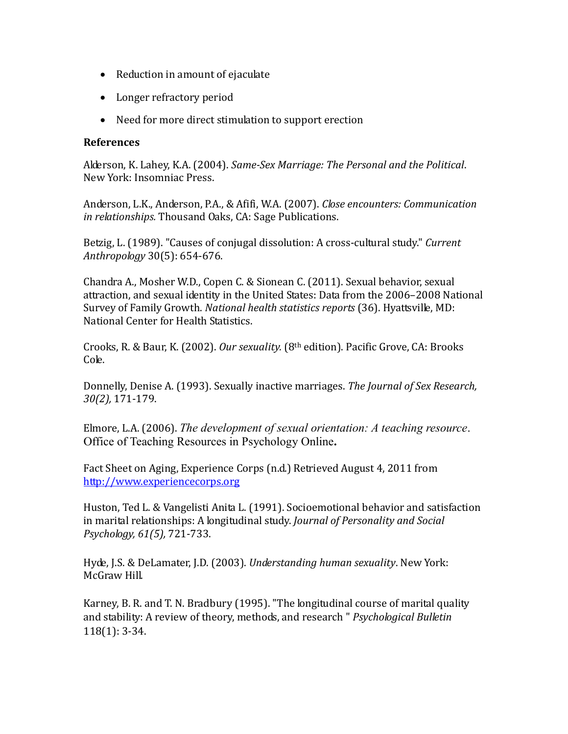- Reduction in amount of ejaculate
- Longer refractory period
- Need for more direct stimulation to support erection

#### **References**

Alderson, K. Lahey, K.A. (2004). *Same-Sex Marriage: The Personal and the Political*. New York: Insomniac Press.

Anderson, L.K., Anderson, P.A., & Afifi, W.A. (2007). *Close encounters: Communication in relationships.* Thousand Oaks, CA: Sage Publications.

Betzig, L. (1989). "Causes of conjugal dissolution: A cross-cultural study." *Current Anthropology* 30(5): 654-676.

Chandra A., Mosher W.D., Copen C. & Sionean C. (2011). Sexual behavior, sexual attraction, and sexual identity in the United States: Data from the 2006–2008 National Survey of Family Growth. *National health statistics reports* (36). Hyattsville, MD: National Center for Health Statistics.

Crooks, R. & Baur, K. (2002). *Our sexuality.* (8th edition). Pacific Grove, CA: Brooks Cole.

Donnelly, Denise A. (1993). Sexually inactive marriages. *The Journal of Sex Research, 30(2),* 171-179.

Elmore, L.A. (2006). *The development of sexual orientation: A teaching resource*. Office of Teaching Resources in Psychology Online**.** 

Fact Sheet on Aging, Experience Corps (n.d.) Retrieved August 4, 2011 from [http://www.experiencecorps.org](http://www.experiencecorps.org/)

Huston, Ted L. & Vangelisti Anita L. (1991). Socioemotional behavior and satisfaction in marital relationships: A longitudinal study. *Journal of Personality and Social Psychology, 61(5),* 721-733.

Hyde, J.S. & DeLamater, J.D. (2003). *Understanding human sexuality*. New York: McGraw Hill.

Karney, B. R. and T. N. Bradbury (1995). "The longitudinal course of marital quality and stability: A review of theory, methods, and research " *Psychological Bulletin* 118(1): 3-34.